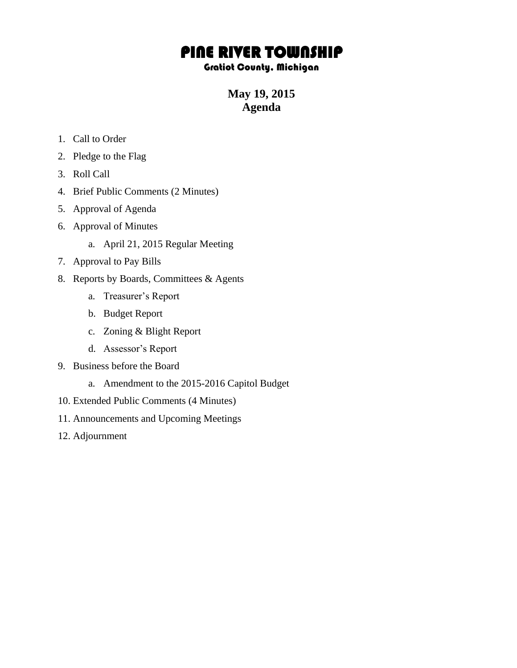## PINE RIVER TOWNSHIP

## Gratiot County, Michigan

**May 19, 2015 Agenda**

- 1. Call to Order
- 2. Pledge to the Flag
- 3. Roll Call
- 4. Brief Public Comments (2 Minutes)
- 5. Approval of Agenda
- 6. Approval of Minutes
	- a. April 21, 2015 Regular Meeting
- 7. Approval to Pay Bills
- 8. Reports by Boards, Committees & Agents
	- a. Treasurer's Report
	- b. Budget Report
	- c. Zoning & Blight Report
	- d. Assessor's Report
- 9. Business before the Board
	- a. Amendment to the 2015-2016 Capitol Budget
- 10. Extended Public Comments (4 Minutes)
- 11. Announcements and Upcoming Meetings
- 12. Adjournment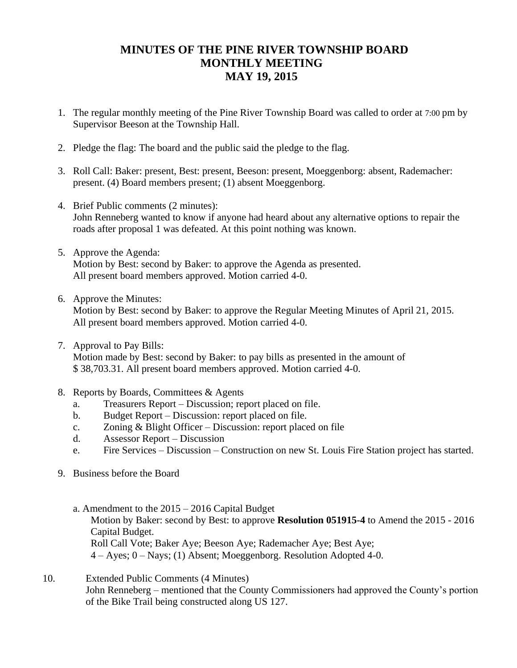## **MINUTES OF THE PINE RIVER TOWNSHIP BOARD MONTHLY MEETING MAY 19, 2015**

- 1. The regular monthly meeting of the Pine River Township Board was called to order at 7:00 pm by Supervisor Beeson at the Township Hall.
- 2. Pledge the flag: The board and the public said the pledge to the flag.
- 3. Roll Call: Baker: present, Best: present, Beeson: present, Moeggenborg: absent, Rademacher: present. (4) Board members present; (1) absent Moeggenborg.
- 4. Brief Public comments (2 minutes): John Renneberg wanted to know if anyone had heard about any alternative options to repair the roads after proposal 1 was defeated. At this point nothing was known.
- 5. Approve the Agenda: Motion by Best: second by Baker: to approve the Agenda as presented. All present board members approved. Motion carried 4-0.
- 6. Approve the Minutes:

Motion by Best: second by Baker: to approve the Regular Meeting Minutes of April 21, 2015. All present board members approved. Motion carried 4-0.

7. Approval to Pay Bills:

Motion made by Best: second by Baker: to pay bills as presented in the amount of \$ 38,703.31. All present board members approved. Motion carried 4-0.

- 8. Reports by Boards, Committees & Agents
	- a. Treasurers Report Discussion; report placed on file.
	- b. Budget Report Discussion: report placed on file.
	- c. Zoning & Blight Officer Discussion: report placed on file
	- d. Assessor Report Discussion
	- e. Fire Services Discussion Construction on new St. Louis Fire Station project has started.
- 9. Business before the Board
	- a. Amendment to the 2015 2016 Capital Budget Motion by Baker: second by Best: to approve **Resolution 051915-4** to Amend the 2015 - 2016 Capital Budget. Roll Call Vote; Baker Aye; Beeson Aye; Rademacher Aye; Best Aye; 4 – Ayes; 0 – Nays; (1) Absent; Moeggenborg. Resolution Adopted 4-0.
- 10. Extended Public Comments (4 Minutes) John Renneberg – mentioned that the County Commissioners had approved the County's portion of the Bike Trail being constructed along US 127.